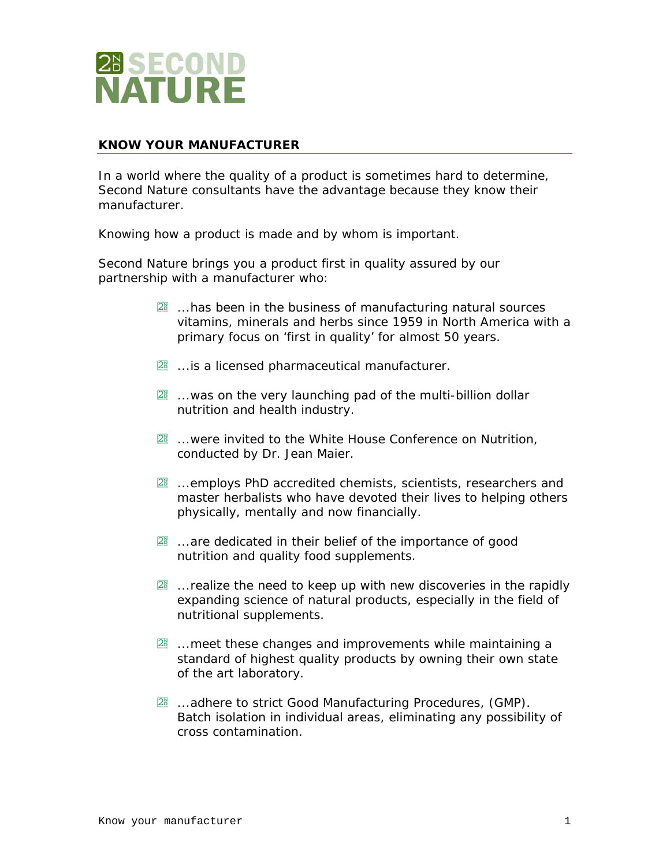

## **KNOW YOUR MANUFACTURER**

In a world where the quality of a product is sometimes hard to determine, Second Nature consultants have the advantage because they know their manufacturer.

Knowing *how* a product is made and *by whom* is important.

Second Nature brings you a product first in quality assured by our partnership with a manufacturer who:

- 28 ...has been in the business of manufacturing natural sources vitamins, minerals and herbs since 1959 in North America with a primary focus on 'first in quality' for almost 50 years.
- 28 ... is a licensed pharmaceutical manufacturer.
- 28 ...was on the very launching pad of the multi-billion dollar nutrition and health industry.
- **28** ...were invited to the White House Conference on Nutrition, conducted by Dr. Jean Maier.
- **28** ...employs PhD accredited chemists, scientists, researchers and master herbalists who have devoted their lives to helping others physically, mentally and now financially.
- 28 ...are dedicated in their belief of the importance of good nutrition and quality food supplements.
- $2^{\circ}$  ... realize the need to keep up with new discoveries in the rapidly expanding science of natural products, especially in the field of nutritional supplements.
- 28 ... meet these changes and improvements while maintaining a standard of highest quality products by owning their own state of the art laboratory.
- 28 ...adhere to strict Good Manufacturing Procedures, (GMP). Batch isolation in individual areas, eliminating any possibility of cross contamination.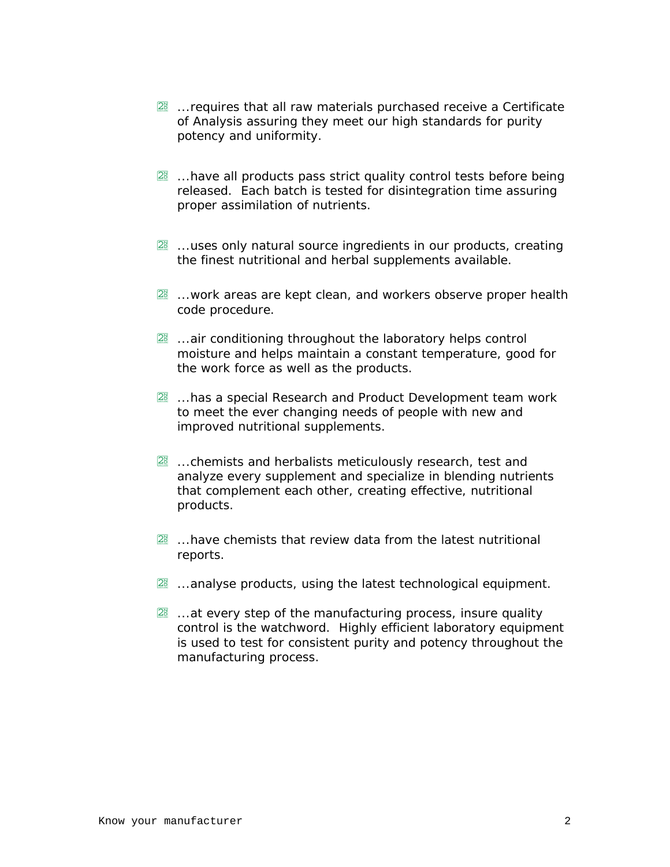- 28 ... requires that all raw materials purchased receive a Certificate of Analysis assuring they meet our high standards for purity potency and uniformity.
- 28 ...have all products pass strict quality control tests before being released. Each batch is tested for disintegration time assuring proper assimilation of nutrients.
- 28 ...uses only natural source ingredients in our products, creating the finest nutritional and herbal supplements available.
- 28 ...work areas are kept clean, and workers observe proper health code procedure.
- 28 ...air conditioning throughout the laboratory helps control moisture and helps maintain a constant temperature, good for the work force as well as the products.
- 28 ...has a special Research and Product Development team work to meet the ever changing needs of people with new and improved nutritional supplements.
- 28 ...chemists and herbalists meticulously research, test and analyze every supplement and specialize in blending nutrients that complement each other, creating effective, nutritional products.
- 28 ...have chemists that review data from the latest nutritional reports.
- 28 ...analyse products, using the latest technological equipment.
- 28 ...at every step of the manufacturing process, insure quality control is the watchword. Highly efficient laboratory equipment is used to test for consistent purity and potency throughout the manufacturing process.